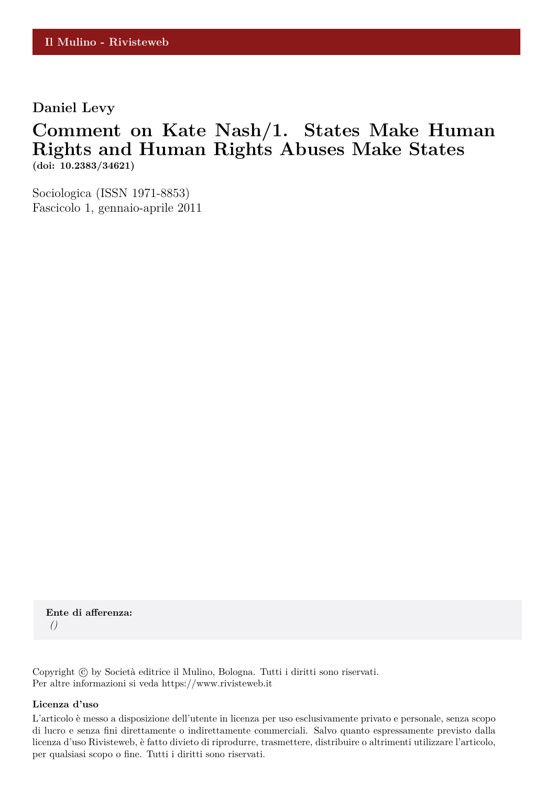**Daniel Levy**

### **Comment on Kate Nash/1. States Make Human Rights and Human Rights Abuses Make States (doi: 10.2383/34621)**

Sociologica (ISSN 1971-8853) Fascicolo 1, gennaio-aprile 2011

**Ente di afferenza:** *()*

Copyright © by Società editrice il Mulino, Bologna. Tutti i diritti sono riservati. Per altre informazioni si veda https://www.rivisteweb.it

#### **Licenza d'uso**

L'articolo è messo a disposizione dell'utente in licenza per uso esclusivamente privato e personale, senza scopo di lucro e senza fini direttamente o indirettamente commerciali. Salvo quanto espressamente previsto dalla licenza d'uso Rivisteweb, è fatto divieto di riprodurre, trasmettere, distribuire o altrimenti utilizzare l'articolo, per qualsiasi scopo o fine. Tutti i diritti sono riservati.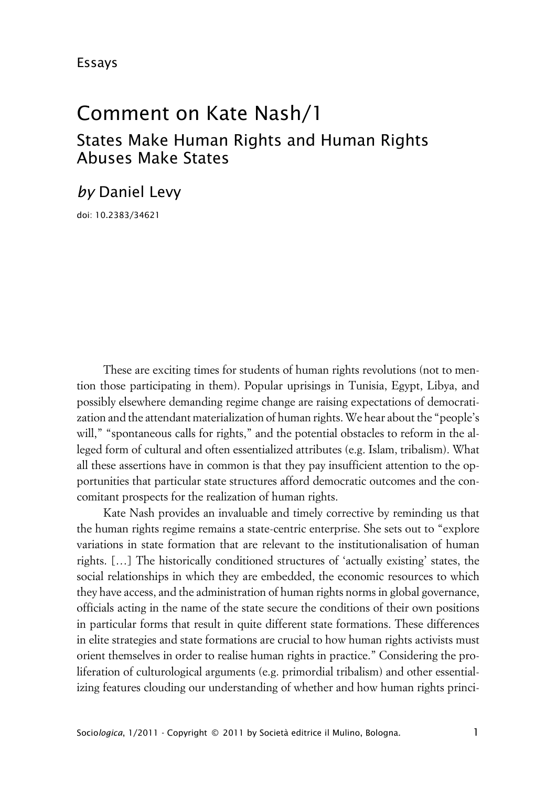# Comment on Kate Nash/1

## States Make Human Rights and Human Rights Abuses Make States

### *by* Daniel Levy

doi: 10.2383/34621

These are exciting times for students of human rights revolutions (not to mention those participating in them). Popular uprisings in Tunisia, Egypt, Libya, and possibly elsewhere demanding regime change are raising expectations of democratization and the attendant materialization of human rights. We hear about the "people's will," "spontaneous calls for rights," and the potential obstacles to reform in the alleged form of cultural and often essentialized attributes (e.g. Islam, tribalism). What all these assertions have in common is that they pay insufficient attention to the opportunities that particular state structures afford democratic outcomes and the concomitant prospects for the realization of human rights.

Kate Nash provides an invaluable and timely corrective by reminding us that the human rights regime remains a state-centric enterprise. She sets out to "explore variations in state formation that are relevant to the institutionalisation of human rights. […] The historically conditioned structures of 'actually existing' states, the social relationships in which they are embedded, the economic resources to which they have access, and the administration of human rights norms in global governance, officials acting in the name of the state secure the conditions of their own positions in particular forms that result in quite different state formations. These differences in elite strategies and state formations are crucial to how human rights activists must orient themselves in order to realise human rights in practice." Considering the proliferation of culturological arguments (e.g. primordial tribalism) and other essentializing features clouding our understanding of whether and how human rights princi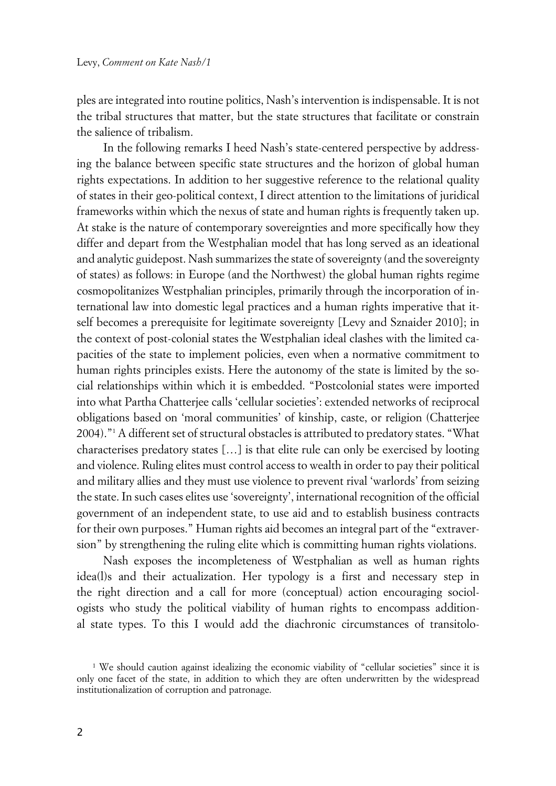ples are integrated into routine politics, Nash's intervention is indispensable. It is not the tribal structures that matter, but the state structures that facilitate or constrain the salience of tribalism.

In the following remarks I heed Nash's state-centered perspective by addressing the balance between specific state structures and the horizon of global human rights expectations. In addition to her suggestive reference to the relational quality of states in their geo-political context, I direct attention to the limitations of juridical frameworks within which the nexus of state and human rights is frequently taken up. At stake is the nature of contemporary sovereignties and more specifically how they differ and depart from the Westphalian model that has long served as an ideational and analytic guidepost. Nash summarizes the state of sovereignty (and the sovereignty of states) as follows: in Europe (and the Northwest) the global human rights regime cosmopolitanizes Westphalian principles, primarily through the incorporation of international law into domestic legal practices and a human rights imperative that itself becomes a prerequisite for legitimate sovereignty [Levy and Sznaider 2010]; in the context of post-colonial states the Westphalian ideal clashes with the limited capacities of the state to implement policies, even when a normative commitment to human rights principles exists. Here the autonomy of the state is limited by the social relationships within which it is embedded. "Postcolonial states were imported into what Partha Chatterjee calls 'cellular societies': extended networks of reciprocal obligations based on 'moral communities' of kinship, caste, or religion (Chatterjee 2004)."<sup>1</sup> A different set of structural obstacles is attributed to predatory states. "What characterises predatory states […] is that elite rule can only be exercised by looting and violence. Ruling elites must control access to wealth in order to pay their political and military allies and they must use violence to prevent rival 'warlords' from seizing the state. In such cases elites use 'sovereignty', international recognition of the official government of an independent state, to use aid and to establish business contracts for their own purposes." Human rights aid becomes an integral part of the "extraversion" by strengthening the ruling elite which is committing human rights violations.

Nash exposes the incompleteness of Westphalian as well as human rights idea(l)s and their actualization. Her typology is a first and necessary step in the right direction and a call for more (conceptual) action encouraging sociologists who study the political viability of human rights to encompass additional state types. To this I would add the diachronic circumstances of transitolo-

<sup>1</sup> We should caution against idealizing the economic viability of "cellular societies" since it is only one facet of the state, in addition to which they are often underwritten by the widespread institutionalization of corruption and patronage.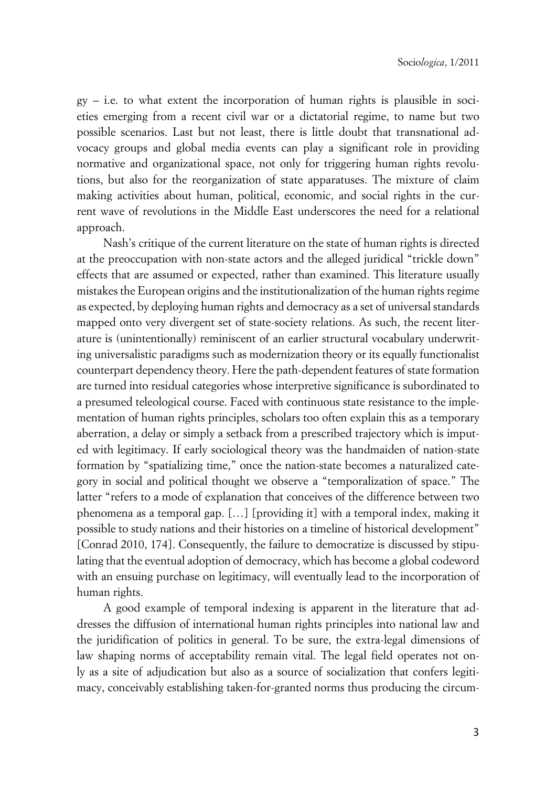gy – i.e. to what extent the incorporation of human rights is plausible in societies emerging from a recent civil war or a dictatorial regime, to name but two possible scenarios. Last but not least, there is little doubt that transnational advocacy groups and global media events can play a significant role in providing normative and organizational space, not only for triggering human rights revolutions, but also for the reorganization of state apparatuses. The mixture of claim making activities about human, political, economic, and social rights in the current wave of revolutions in the Middle East underscores the need for a relational approach.

Nash's critique of the current literature on the state of human rights is directed at the preoccupation with non-state actors and the alleged juridical "trickle down" effects that are assumed or expected, rather than examined. This literature usually mistakes the European origins and the institutionalization of the human rights regime as expected, by deploying human rights and democracy as a set of universal standards mapped onto very divergent set of state-society relations. As such, the recent literature is (unintentionally) reminiscent of an earlier structural vocabulary underwriting universalistic paradigms such as modernization theory or its equally functionalist counterpart dependency theory. Here the path-dependent features of state formation are turned into residual categories whose interpretive significance is subordinated to a presumed teleological course. Faced with continuous state resistance to the implementation of human rights principles, scholars too often explain this as a temporary aberration, a delay or simply a setback from a prescribed trajectory which is imputed with legitimacy. If early sociological theory was the handmaiden of nation-state formation by "spatializing time," once the nation-state becomes a naturalized category in social and political thought we observe a "temporalization of space." The latter "refers to a mode of explanation that conceives of the difference between two phenomena as a temporal gap. […] [providing it] with a temporal index, making it possible to study nations and their histories on a timeline of historical development" [Conrad 2010, 174]. Consequently, the failure to democratize is discussed by stipulating that the eventual adoption of democracy, which has become a global codeword with an ensuing purchase on legitimacy, will eventually lead to the incorporation of human rights.

A good example of temporal indexing is apparent in the literature that addresses the diffusion of international human rights principles into national law and the juridification of politics in general. To be sure, the extra-legal dimensions of law shaping norms of acceptability remain vital. The legal field operates not only as a site of adjudication but also as a source of socialization that confers legitimacy, conceivably establishing taken-for-granted norms thus producing the circum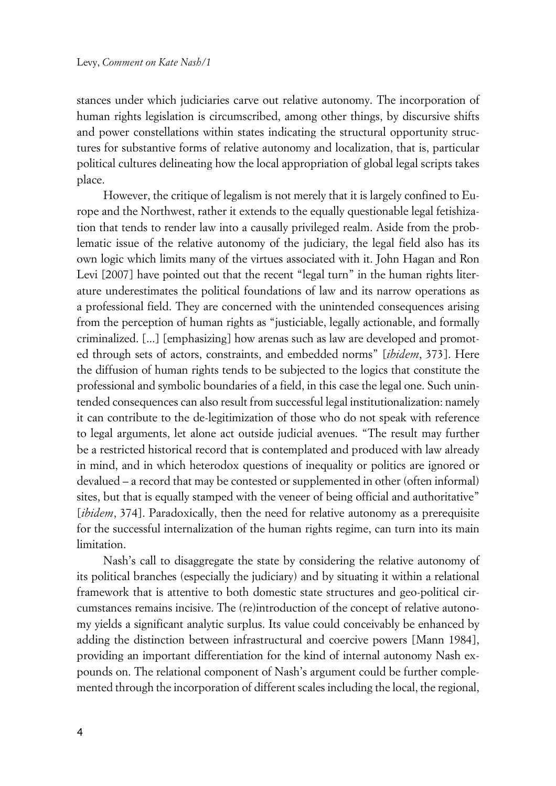stances under which judiciaries carve out relative autonomy. The incorporation of human rights legislation is circumscribed, among other things, by discursive shifts and power constellations within states indicating the structural opportunity structures for substantive forms of relative autonomy and localization, that is, particular political cultures delineating how the local appropriation of global legal scripts takes place.

However, the critique of legalism is not merely that it is largely confined to Europe and the Northwest, rather it extends to the equally questionable legal fetishization that tends to render law into a causally privileged realm. Aside from the problematic issue of the relative autonomy of the judiciary, the legal field also has its own logic which limits many of the virtues associated with it. John Hagan and Ron Levi [2007] have pointed out that the recent "legal turn" in the human rights literature underestimates the political foundations of law and its narrow operations as a professional field. They are concerned with the unintended consequences arising from the perception of human rights as "justiciable, legally actionable, and formally criminalized. [...] [emphasizing] how arenas such as law are developed and promoted through sets of actors, constraints, and embedded norms" [*ibidem*, 373]. Here the diffusion of human rights tends to be subjected to the logics that constitute the professional and symbolic boundaries of a field, in this case the legal one. Such unintended consequences can also result from successful legal institutionalization: namely it can contribute to the de-legitimization of those who do not speak with reference to legal arguments, let alone act outside judicial avenues. "The result may further be a restricted historical record that is contemplated and produced with law already in mind, and in which heterodox questions of inequality or politics are ignored or devalued – a record that may be contested or supplemented in other (often informal) sites, but that is equally stamped with the veneer of being official and authoritative" [*ibidem*, 374]. Paradoxically, then the need for relative autonomy as a prerequisite for the successful internalization of the human rights regime, can turn into its main limitation.

Nash's call to disaggregate the state by considering the relative autonomy of its political branches (especially the judiciary) and by situating it within a relational framework that is attentive to both domestic state structures and geo-political circumstances remains incisive. The (re)introduction of the concept of relative autonomy yields a significant analytic surplus. Its value could conceivably be enhanced by adding the distinction between infrastructural and coercive powers [Mann 1984], providing an important differentiation for the kind of internal autonomy Nash expounds on. The relational component of Nash's argument could be further complemented through the incorporation of different scales including the local, the regional,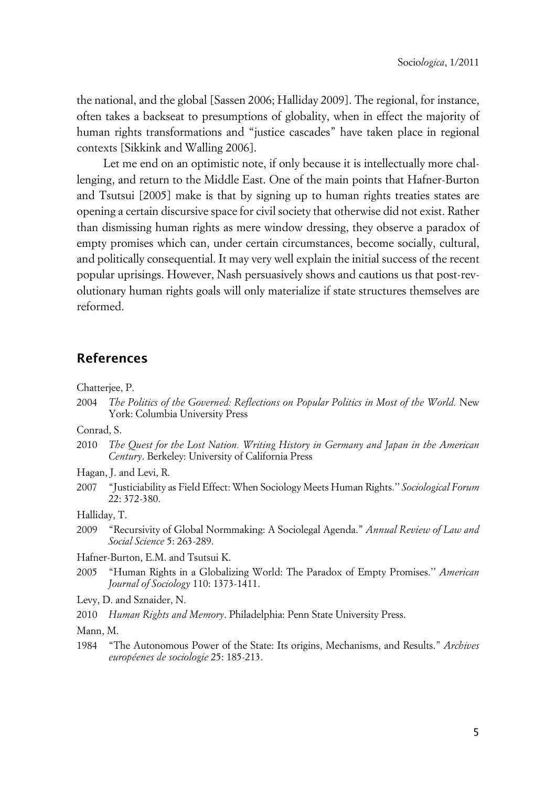the national, and the global [Sassen 2006; Halliday 2009]. The regional, for instance, often takes a backseat to presumptions of globality, when in effect the majority of human rights transformations and "justice cascades" have taken place in regional contexts [Sikkink and Walling 2006].

Let me end on an optimistic note, if only because it is intellectually more challenging, and return to the Middle East. One of the main points that Hafner-Burton and Tsutsui [2005] make is that by signing up to human rights treaties states are opening a certain discursive space for civil society that otherwise did not exist. Rather than dismissing human rights as mere window dressing, they observe a paradox of empty promises which can, under certain circumstances, become socially, cultural, and politically consequential. It may very well explain the initial success of the recent popular uprisings. However, Nash persuasively shows and cautions us that post-revolutionary human rights goals will only materialize if state structures themselves are reformed.

#### **References**

Chatterjee, P.

2004 *The Politics of the Governed: Reflections on Popular Politics in Most of the World.* New York: Columbia University Press

Conrad, S.

- 2010 *The Quest for the Lost Nation. Writing History in Germany and Japan in the American Century*. Berkeley: University of California Press
- Hagan, J. and Levi, R.
- 2007 "Justiciability as Field Effect: When Sociology Meets Human Rights.'' *Sociological Forum* 22: 372-380.

Halliday, T.

- 2009 "Recursivity of Global Normmaking: A Sociolegal Agenda." *Annual Review of Law and Social Science* 5: 263-289.
- Hafner-Burton, E.M. and Tsutsui K.
- 2005 "Human Rights in a Globalizing World: The Paradox of Empty Promises.'' *American Journal of Sociology* 110: 1373-1411.

Levy, D. and Sznaider, N.

2010 *Human Rights and Memory*. Philadelphia: Penn State University Press.

Mann, M.

1984 "The Autonomous Power of the State: Its origins, Mechanisms, and Results." *Archives européenes de sociologie* 25: 185-213.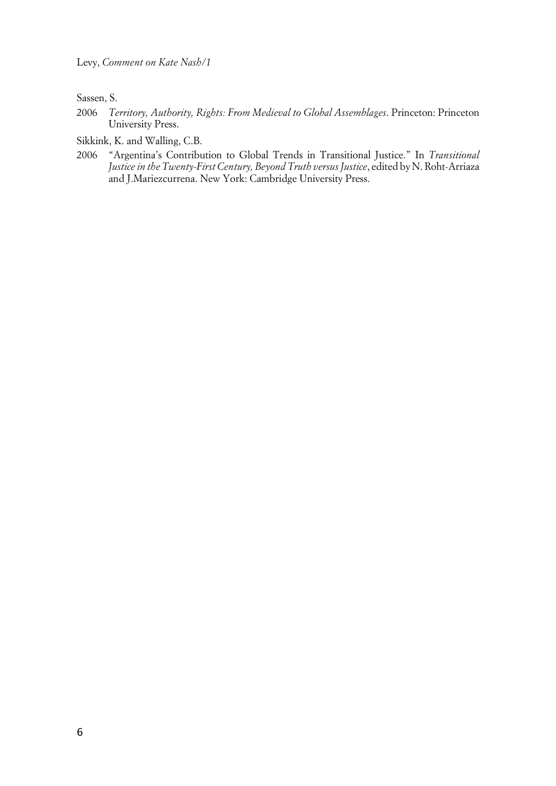Sassen, S.

2006 *Territory, Authority, Rights: From Medieval to Global Assemblages*. Princeton: Princeton University Press.

Sikkink, K. and Walling, C.B.

2006 "Argentina's Contribution to Global Trends in Transitional Justice." In *Transitional Justice in the Twenty-First Century, Beyond Truth versus Justice*, edited by N. Roht-Arriaza and J.Mariezcurrena. New York: Cambridge University Press.